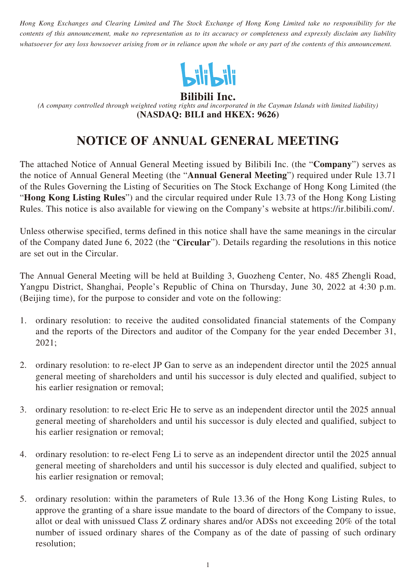*Hong Kong Exchanges and Clearing Limited and The Stock Exchange of Hong Kong Limited take no responsibility for the contents of this announcement, make no representation as to its accuracy or completeness and expressly disclaim any liability whatsoever for any loss howsoever arising from or in reliance upon the whole or any part of the contents of this announcement.*



**Bilibili Inc.**

*(A company controlled through weighted voting rights and incorporated in the Cayman Islands with limited liability)* **(NASDAQ: BILI and HKEX: 9626)**

# **NOTICE OF ANNUAL GENERAL MEETING**

The attached Notice of Annual General Meeting issued by Bilibili Inc. (the "**Company**") serves as the notice of Annual General Meeting (the "**Annual General Meeting**") required under Rule 13.71 of the Rules Governing the Listing of Securities on The Stock Exchange of Hong Kong Limited (the "**Hong Kong Listing Rules**") and the circular required under Rule 13.73 of the Hong Kong Listing Rules. This notice is also available for viewing on the Company's website at https://ir.bilibili.com/.

Unless otherwise specified, terms defined in this notice shall have the same meanings in the circular of the Company dated June 6, 2022 (the "**Circular**"). Details regarding the resolutions in this notice are set out in the Circular.

The Annual General Meeting will be held at Building 3, Guozheng Center, No. 485 Zhengli Road, Yangpu District, Shanghai, People's Republic of China on Thursday, June 30, 2022 at 4:30 p.m. (Beijing time), for the purpose to consider and vote on the following:

- 1. ordinary resolution: to receive the audited consolidated financial statements of the Company and the reports of the Directors and auditor of the Company for the year ended December 31, 2021;
- 2. ordinary resolution: to re-elect JP Gan to serve as an independent director until the 2025 annual general meeting of shareholders and until his successor is duly elected and qualified, subject to his earlier resignation or removal;
- 3. ordinary resolution: to re-elect Eric He to serve as an independent director until the 2025 annual general meeting of shareholders and until his successor is duly elected and qualified, subject to his earlier resignation or removal;
- 4. ordinary resolution: to re-elect Feng Li to serve as an independent director until the 2025 annual general meeting of shareholders and until his successor is duly elected and qualified, subject to his earlier resignation or removal;
- 5. ordinary resolution: within the parameters of Rule 13.36 of the Hong Kong Listing Rules, to approve the granting of a share issue mandate to the board of directors of the Company to issue, allot or deal with unissued Class Z ordinary shares and/or ADSs not exceeding 20% of the total number of issued ordinary shares of the Company as of the date of passing of such ordinary resolution;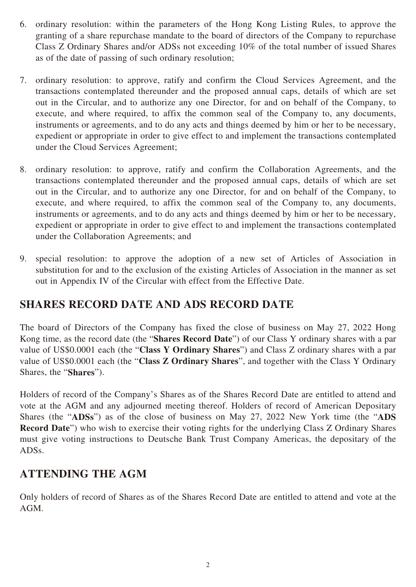- 6. ordinary resolution: within the parameters of the Hong Kong Listing Rules, to approve the granting of a share repurchase mandate to the board of directors of the Company to repurchase Class Z Ordinary Shares and/or ADSs not exceeding 10% of the total number of issued Shares as of the date of passing of such ordinary resolution;
- 7. ordinary resolution: to approve, ratify and confirm the Cloud Services Agreement, and the transactions contemplated thereunder and the proposed annual caps, details of which are set out in the Circular, and to authorize any one Director, for and on behalf of the Company, to execute, and where required, to affix the common seal of the Company to, any documents, instruments or agreements, and to do any acts and things deemed by him or her to be necessary, expedient or appropriate in order to give effect to and implement the transactions contemplated under the Cloud Services Agreement;
- 8. ordinary resolution: to approve, ratify and confirm the Collaboration Agreements, and the transactions contemplated thereunder and the proposed annual caps, details of which are set out in the Circular, and to authorize any one Director, for and on behalf of the Company, to execute, and where required, to affix the common seal of the Company to, any documents, instruments or agreements, and to do any acts and things deemed by him or her to be necessary, expedient or appropriate in order to give effect to and implement the transactions contemplated under the Collaboration Agreements; and
- 9. special resolution: to approve the adoption of a new set of Articles of Association in substitution for and to the exclusion of the existing Articles of Association in the manner as set out in Appendix IV of the Circular with effect from the Effective Date.

### **SHARES RECORD DATE AND ADS RECORD DATE**

The board of Directors of the Company has fixed the close of business on May 27, 2022 Hong Kong time, as the record date (the "**Shares Record Date**") of our Class Y ordinary shares with a par value of US\$0.0001 each (the "**Class Y Ordinary Shares**") and Class Z ordinary shares with a par value of US\$0.0001 each (the "**Class Z Ordinary Shares**", and together with the Class Y Ordinary Shares, the "**Shares**").

Holders of record of the Company's Shares as of the Shares Record Date are entitled to attend and vote at the AGM and any adjourned meeting thereof. Holders of record of American Depositary Shares (the "**ADSs**") as of the close of business on May 27, 2022 New York time (the "**ADS Record Date**") who wish to exercise their voting rights for the underlying Class Z Ordinary Shares must give voting instructions to Deutsche Bank Trust Company Americas, the depositary of the ADSs.

### **ATTENDING THE AGM**

Only holders of record of Shares as of the Shares Record Date are entitled to attend and vote at the AGM.